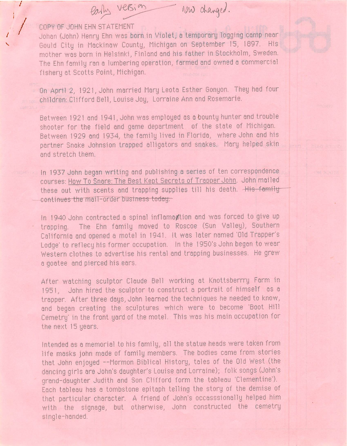version row changed.

COPY OF JOHN EHN STATEMENT

Johan (John) Henry Ehn was born in Violet, a temporary logging camp near Gould City in Mackinaw County, Michigan on September 15, 1897. His mother was born in Helsinki, Finland and his father in Stockholm, Sweden. The Ehn family ran a lumbering operation, farmed and owned a commercial fishery at Scotts Point, Michigan.

On April 2, 1921, John married Mary Leota Esther Gonyon. They had four children; Clifford Bell, Louise Joy, Lorraine Ann and Rosemarie.

Between 1921 and 1941, John was employed as a bounty hunter and trouble shooter for the field end game department of the state of Michigan. Between 1929 and 1934, the family lived in Florida, where John and his partner Snake Johnsion trapped alligators and snakes. Mary helped skin and stretch them.

In 1937 John began writing and publishing a series of ten correspondence courses: How To Snare: The Best Kept Secrets of Trapper John. John mailed these out with scents and trapping supplies till his death. His familycontinues the mail-order business today.

In 1940 John contracted a spinal inflamagiton and was forced to give up trapping. The Ehn family moved to Roscoe (Sun Valley), Southern California and opened a motel in 1941. tt was later named 'Old Trapper's Lodge' to reflecy his former occupation. In the 1950's John began to wear Western clothes to advertise his rental and trapping businesses. He grew a goatee and pierced his ears.

After watching sculptor Claude Bell working at Knottsberrry Farm in 1951, John hired the sculptor to construct a portrait of himself as a trapper. After three days, John learned the techniques he needed to know, and began creating the sculptures which were to become 'Boot Hill Cemetry' in the front yard of the motel. This was his main occupation for the next 15 years.

Intended as a memorial to his family, all the statue heads were taken from life masks John made of family members. The bodies came from stories that John enjoyed --Mormon Biblical History, tales of the Old West (the dancing girls are John's daughter's Louise and Lorraine); folk songs (John's grand-daughter Judith and Son Clifford form the tableau 'Clementine'). Each tableau has a tombstone epitaph telling the story of the demise of that particular character. A friend of John's occasssionally helped him with the signage, but otherwise, John constructed the cemetry single-handed.